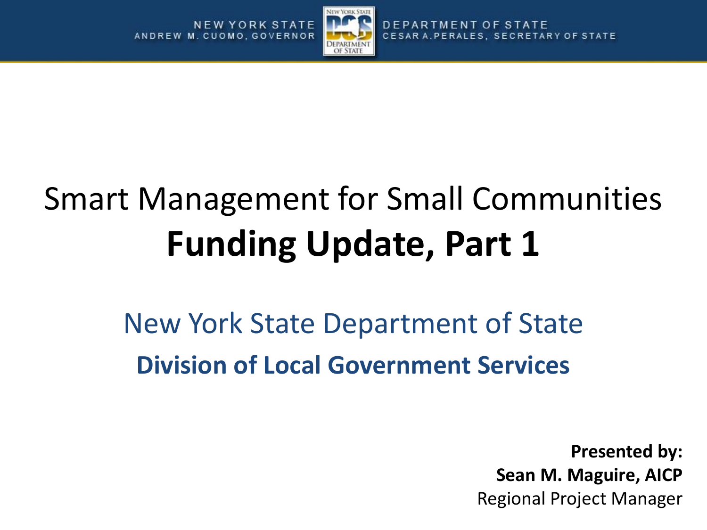

### Smart Management for Small Communities **Funding Update, Part 1**

New York State Department of State **Division of Local Government Services**

> **Presented by: Sean M. Maguire, AICP** Regional Project Manager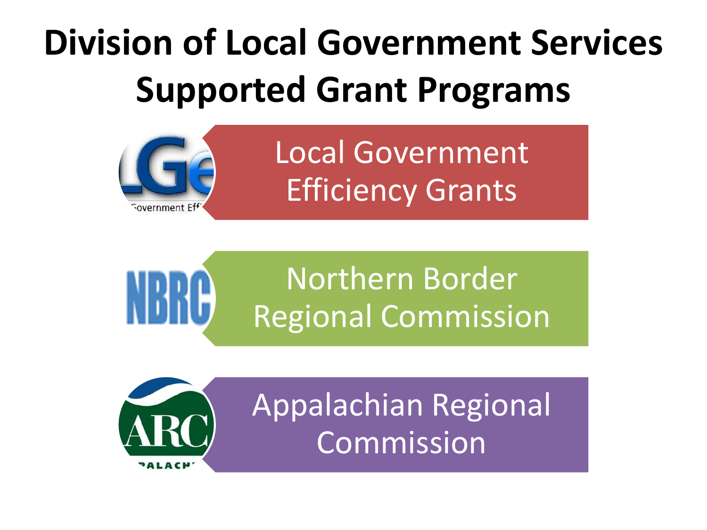# **Division of Local Government Services Supported Grant Programs**





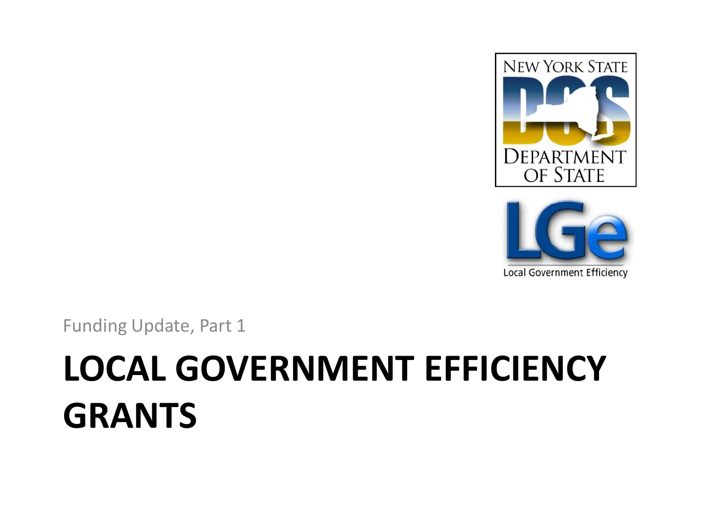



Funding Update, Part 1

### **LOCAL GOVERNMENT EFFICIENCY GRANTS**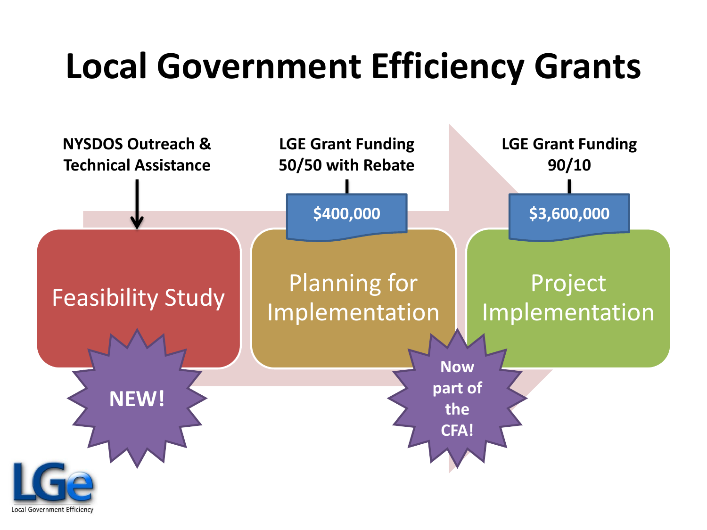### **Local Government Efficiency Grants**

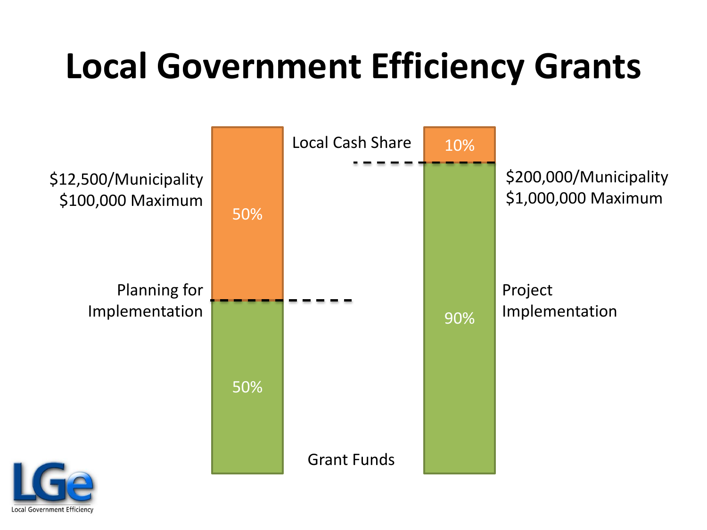### **Local Government Efficiency Grants**



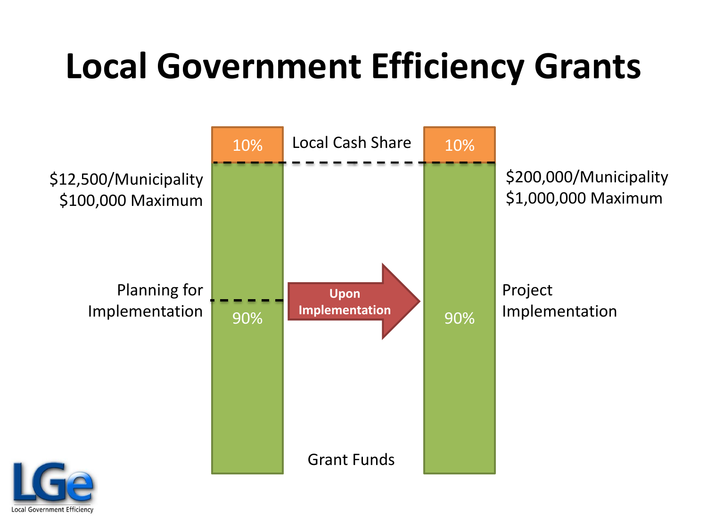### **Local Government Efficiency Grants**



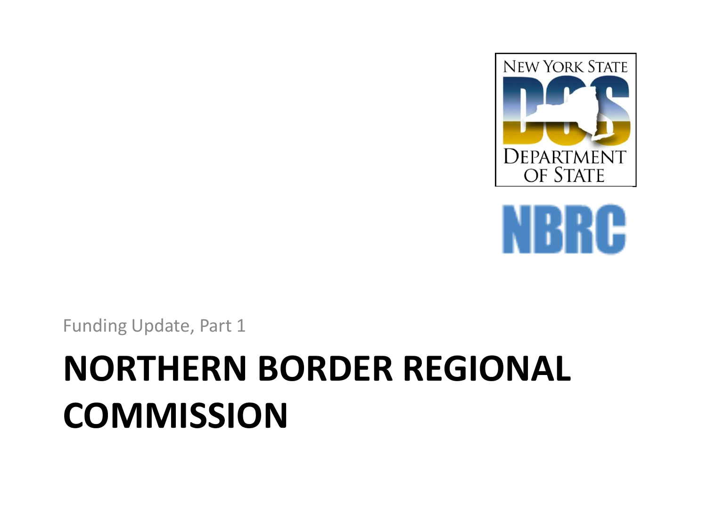



Funding Update, Part 1

## **NORTHERN BORDER REGIONAL COMMISSION**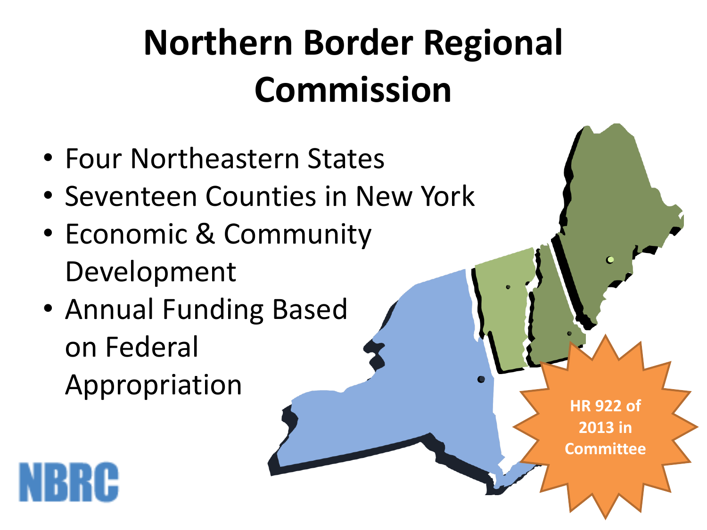# **Northern Border Regional Commission**

- Four Northeastern States
- Seventeen Counties in New York
- Economic & Community Development
- Annual Funding Based on Federal Appropriation

**HR 922 of 2013 in Committee**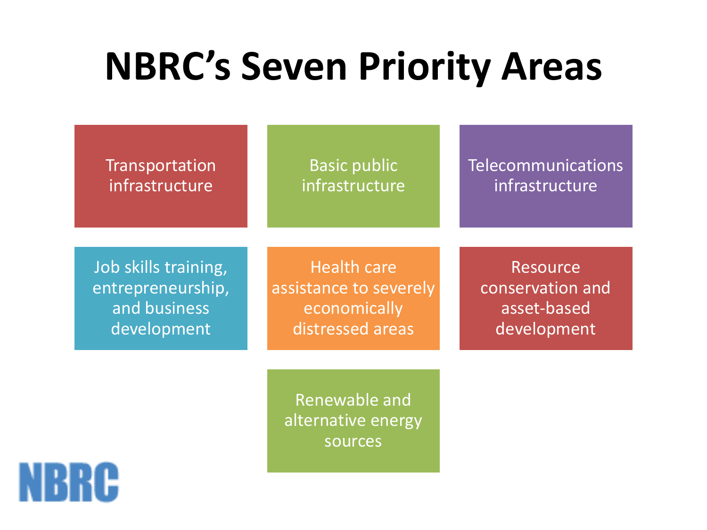### **NBRC's Seven Priority Areas**

**Transportation** infrastructure

**Basic public** infrastructure Telecommunications infrastructure

Job skills training, entrepreneurship, and business development

Health care assistance to severely economically distressed areas

Resource conservation and asset-based development

Renewable and alternative energy sources

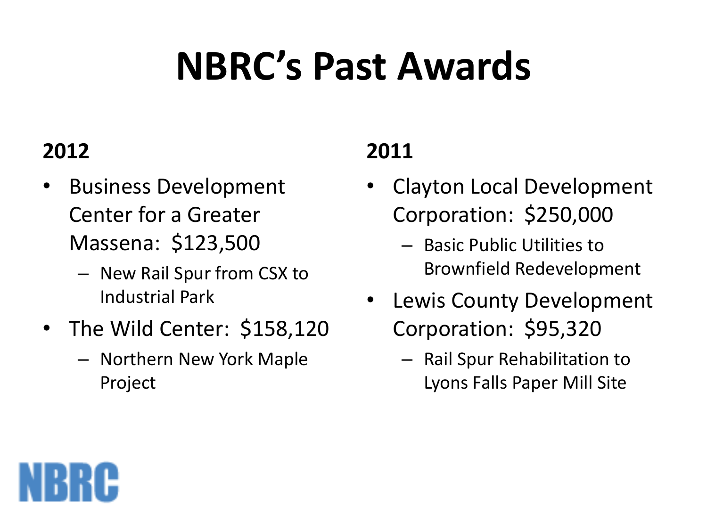# **NBRC's Past Awards**

#### **2012**

- Business Development Center for a Greater Massena: \$123,500
	- New Rail Spur from CSX to Industrial Park
- The Wild Center: \$158,120
	- Northern New York Maple Project

#### **2011**

- Clayton Local Development Corporation: \$250,000
	- Basic Public Utilities to Brownfield Redevelopment
- Lewis County Development Corporation: \$95,320
	- Rail Spur Rehabilitation to Lyons Falls Paper Mill Site

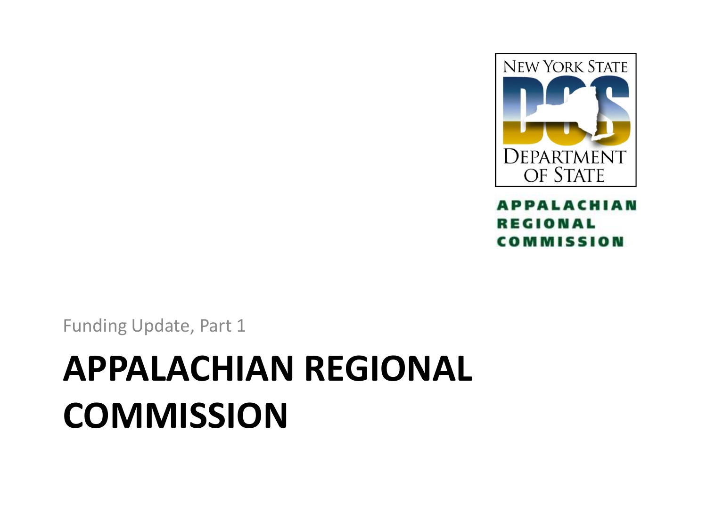

**APPALACHIAN REGIONAL COMMISSION** 

Funding Update, Part 1

### **APPALACHIAN REGIONAL COMMISSION**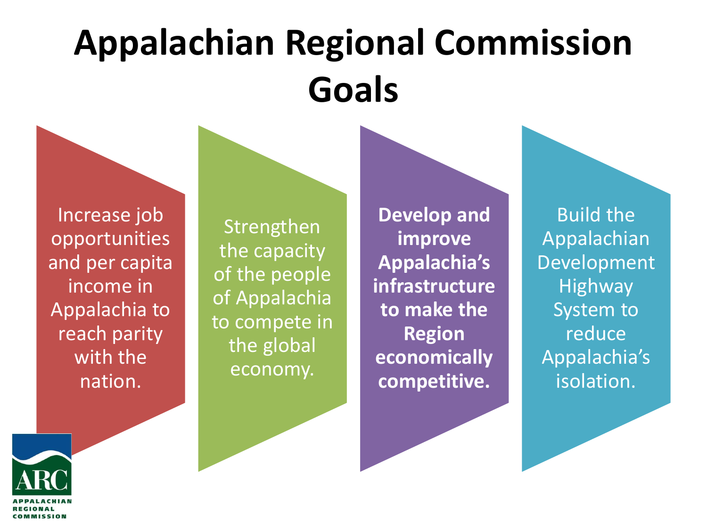## **Appalachian Regional Commission Goals**

Increase job opportunities and per capita income in Appalachia to reach parity with the nation.

Strengthen the capacity of the people of Appalachia to compete in the global economy.

**Develop and improve Appalachia's infrastructure to make the Region economically competitive.** 

Build the Appalachian Development **Highway** System to reduce Appalachia's isolation.

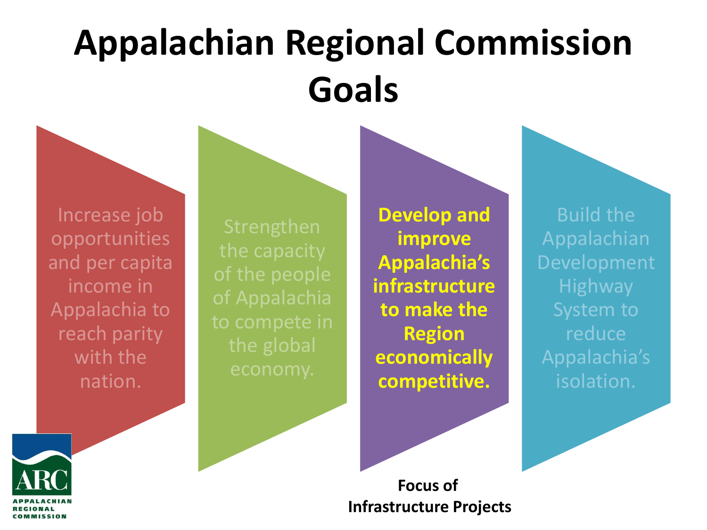## **Appalachian Regional Commission Goals**

Increase job opportunities and per capita income in Appalachia to reach parity with the nation.

**Develop and improve Appalachia's infrastructure to make the Region economically competitive.**

Build the Appalachian Development **Highway** reduce Appalachia's isolation.



**Focus of Infrastructure Projects**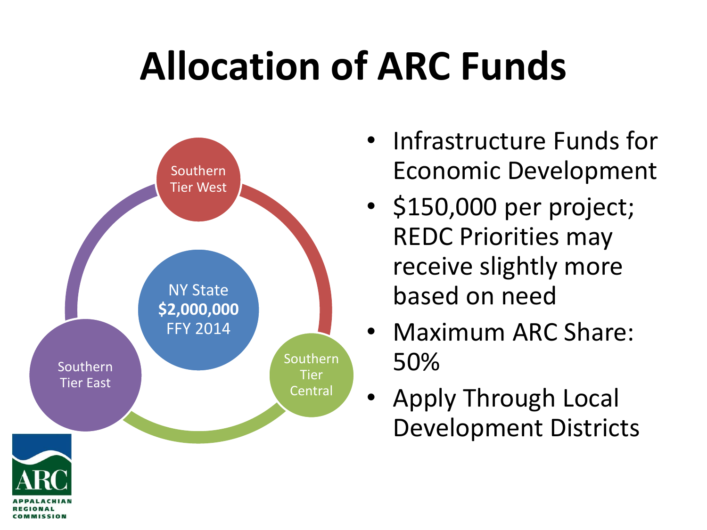# **Allocation of ARC Funds**



COMMISSION

- Infrastructure Funds for Economic Development
- \$150,000 per project; REDC Priorities may receive slightly more based on need
- Maximum ARC Share: 50%
- Apply Through Local Development Districts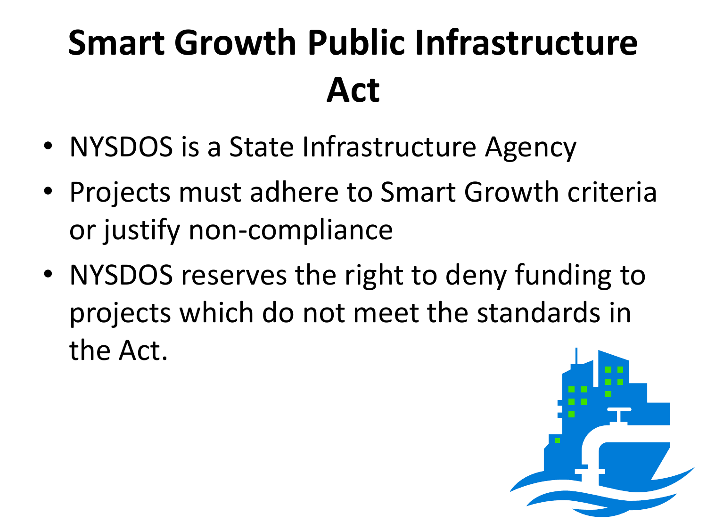## **Smart Growth Public Infrastructure Act**

- NYSDOS is a State Infrastructure Agency
- Projects must adhere to Smart Growth criteria or justify non-compliance
- NYSDOS reserves the right to deny funding to projects which do not meet the standards in the Act.

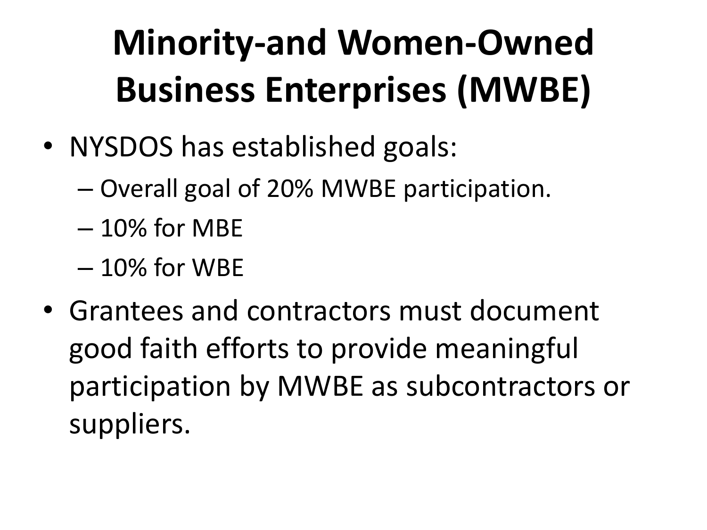# **Minority-and Women-Owned Business Enterprises (MWBE)**

- NYSDOS has established goals:
	- Overall goal of 20% MWBE participation.
	- 10% for MBE
	- 10% for WBE
- Grantees and contractors must document good faith efforts to provide meaningful participation by MWBE as subcontractors or suppliers.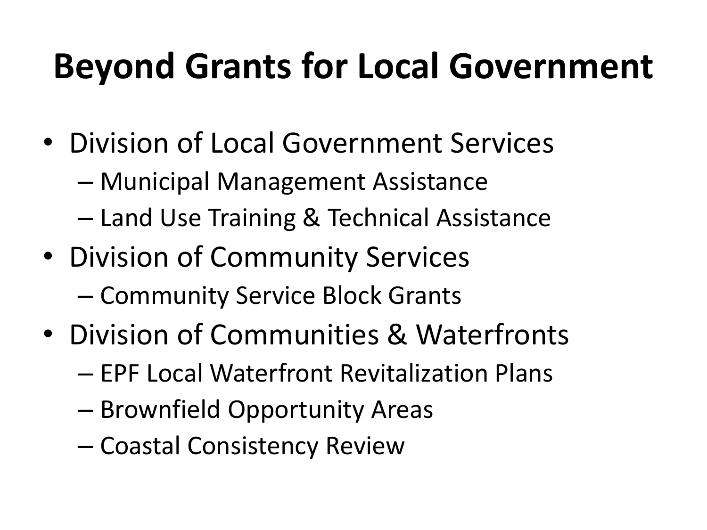### **Beyond Grants for Local Government**

- Division of Local Government Services
	- Municipal Management Assistance
	- Land Use Training & Technical Assistance
- Division of Community Services
	- Community Service Block Grants
- Division of Communities & Waterfronts
	- EPF Local Waterfront Revitalization Plans
	- Brownfield Opportunity Areas
	- Coastal Consistency Review